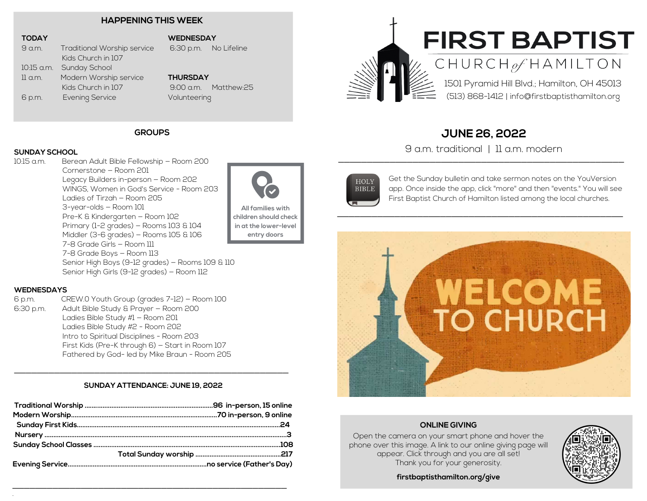#### **HAPPENING THIS WEEK**

#### **TODAY**

9 a.m. Traditional Worship service Kids Church in 107 10:15 a.m. Sunday School 11 a.m. Modern Worship service Kids Church in 107 6 p.m. Evening Service

#### **WEDNESDAY**

6:30 p.m. No Lifeline

### **THURSDAY**

9:00 a.m. Matthew:25 Volunteering

#### **GROUPS**

# **SUNDAY SCHOOL**

Berean Adult Bible Fellowship – Room 200 Cornerstone — Room 201 Legacy Builders in-person — Room 202 WINGS, Women in God's Service - Room 203 Ladies of Tirzah — Room 205 3-year-olds — Room 101 Pre-K & Kindergarten — Room 102 Primary (1-2 grades) — Rooms 103 & 104 Middler (3-6 grades) — Rooms 105 & 106 7-8 Grade Girls — Room 111 7-8 Grade Boys — Room 113 Senior High Boys (9-12 grades) — Rooms 109 & 110 Senior High Girls (9-12 grades) — Room 112



**All families with children should check in at the lower-level entry doors**

#### **WEDNESDAYS**

.

6 p.m. CREW.0 Youth Group (grades 7-12) — Room 100 6:30 p.m. Adult Bible Study & Prayer — Room 200 Ladies Bible Study #1 — Room 201 Ladies Bible Study #2 - Room 202 Intro to Spiritual Disciplines - Room 203 First Kids (Pre-K through 6) — Start in Room 107 Fathered by God- led by Mike Braun - Room 205

#### **SUNDAY ATTENDANCE: JUNE 19, 2022**

\_\_\_\_\_\_\_\_\_\_\_\_\_\_\_\_\_\_\_\_\_\_\_\_\_\_\_\_\_\_\_\_\_\_\_\_\_\_\_\_\_\_\_\_\_\_\_\_

\_\_\_\_\_\_\_\_\_\_\_\_\_\_\_\_\_\_\_\_\_\_\_\_\_\_\_\_\_\_\_\_\_\_\_\_\_\_\_\_\_\_\_\_\_\_\_\_



# CHURCH<sub>of</sub> HAMILTON

1501 Pyramid Hill Blvd.; Hamilton, OH 45013 (513) 868-1412 | info@firstbaptisthamilton.org

## **JUNE 26, 2022**

\_\_\_\_\_\_\_\_\_\_\_\_\_\_\_\_\_\_\_\_\_\_\_\_\_\_\_\_\_\_\_\_\_\_\_\_\_\_\_\_\_\_\_\_\_\_\_\_\_\_ 9 a.m. traditional | 11 a.m. modern



Get the Sunday bulletin and take sermon notes on the YouVersion app. Once inside the app, click "more" and then "events." You will see First Baptist Church of Hamilton listed among the local churches.



#### **ONLINE GIVING**

Open the camera on your smart phone and hover the phone over this image. A link to our online giving page will appear. Click through and you are all set! Thank you for your generosity.



**firstbaptisthamilton.org/give**